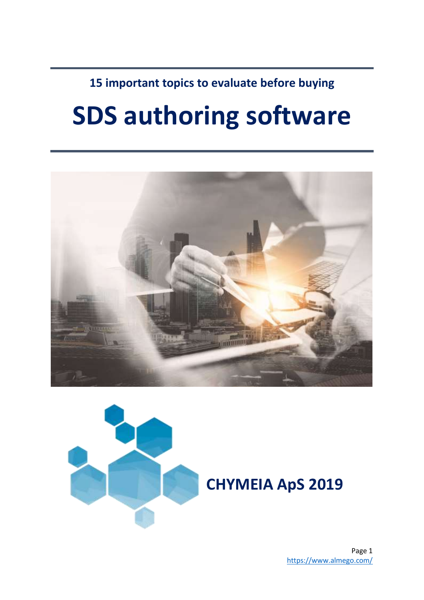**15 important topics to evaluate before buying**

## **SDS authoring software**





Page 1 <https://www.almego.com/>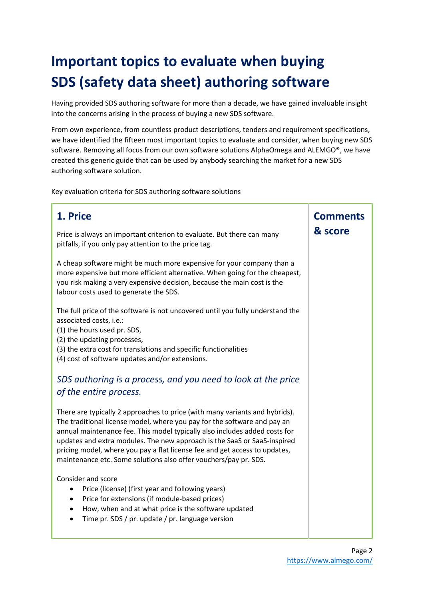## **Important topics to evaluate when buying SDS (safety data sheet) authoring software**

Having provided SDS authoring software for more than a decade, we have gained invaluable insight into the concerns arising in the process of buying a new SDS software.

From own experience, from countless product descriptions, tenders and requirement specifications, we have identified the fifteen most important topics to evaluate and consider, when buying new SDS software. Removing all focus from our own software solutions AlphaOmega and ALEMGO®, we have created this generic guide that can be used by anybody searching the market for a new SDS authoring software solution.

Key evaluation criteria for SDS authoring software solutions

| 1. Price                                                                                                                                                                                                                                                                                                                                                                                                                                                            | <b>Comments</b><br>& score |
|---------------------------------------------------------------------------------------------------------------------------------------------------------------------------------------------------------------------------------------------------------------------------------------------------------------------------------------------------------------------------------------------------------------------------------------------------------------------|----------------------------|
| Price is always an important criterion to evaluate. But there can many<br>pitfalls, if you only pay attention to the price tag.                                                                                                                                                                                                                                                                                                                                     |                            |
| A cheap software might be much more expensive for your company than a<br>more expensive but more efficient alternative. When going for the cheapest,<br>you risk making a very expensive decision, because the main cost is the<br>labour costs used to generate the SDS.                                                                                                                                                                                           |                            |
| The full price of the software is not uncovered until you fully understand the<br>associated costs, i.e.:<br>(1) the hours used pr. SDS,<br>(2) the updating processes,<br>(3) the extra cost for translations and specific functionalities<br>(4) cost of software updates and/or extensions.                                                                                                                                                                      |                            |
| SDS authoring is a process, and you need to look at the price<br>of the entire process.                                                                                                                                                                                                                                                                                                                                                                             |                            |
| There are typically 2 approaches to price (with many variants and hybrids).<br>The traditional license model, where you pay for the software and pay an<br>annual maintenance fee. This model typically also includes added costs for<br>updates and extra modules. The new approach is the SaaS or SaaS-inspired<br>pricing model, where you pay a flat license fee and get access to updates,<br>maintenance etc. Some solutions also offer vouchers/pay pr. SDS. |                            |
| Consider and score<br>Price (license) (first year and following years)<br>$\bullet$<br>Price for extensions (if module-based prices)<br>$\bullet$<br>How, when and at what price is the software updated<br>Time pr. SDS / pr. update / pr. language version                                                                                                                                                                                                        |                            |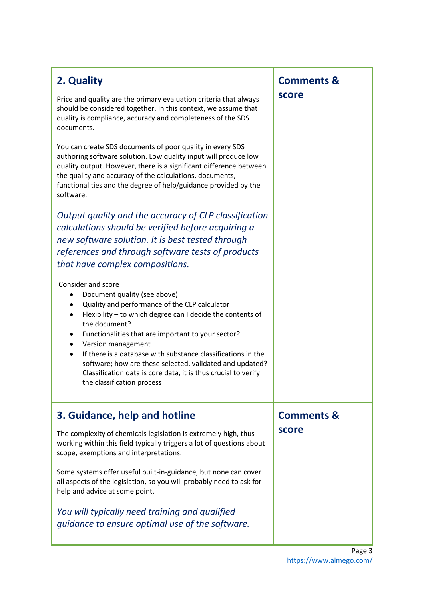| 2. Quality<br>Price and quality are the primary evaluation criteria that always<br>should be considered together. In this context, we assume that<br>quality is compliance, accuracy and completeness of the SDS<br>documents.<br>You can create SDS documents of poor quality in every SDS<br>authoring software solution. Low quality input will produce low<br>quality output. However, there is a significant difference between<br>the quality and accuracy of the calculations, documents,<br>functionalities and the degree of help/guidance provided by the<br>software.<br>Output quality and the accuracy of CLP classification | <b>Comments &amp;</b><br>score |
|-------------------------------------------------------------------------------------------------------------------------------------------------------------------------------------------------------------------------------------------------------------------------------------------------------------------------------------------------------------------------------------------------------------------------------------------------------------------------------------------------------------------------------------------------------------------------------------------------------------------------------------------|--------------------------------|
| calculations should be verified before acquiring a<br>new software solution. It is best tested through<br>references and through software tests of products<br>that have complex compositions.                                                                                                                                                                                                                                                                                                                                                                                                                                            |                                |
| Consider and score<br>Document quality (see above)<br>Quality and performance of the CLP calculator<br>٠<br>Flexibility - to which degree can I decide the contents of<br>٠<br>the document?<br>Functionalities that are important to your sector?<br>٠<br>Version management<br>٠<br>If there is a database with substance classifications in the<br>software; how are these selected, validated and updated?<br>Classification data is core data, it is thus crucial to verify<br>the classification process                                                                                                                            |                                |
| 3. Guidance, help and hotline                                                                                                                                                                                                                                                                                                                                                                                                                                                                                                                                                                                                             | <b>Comments &amp;</b>          |
| The complexity of chemicals legislation is extremely high, thus<br>working within this field typically triggers a lot of questions about<br>scope, exemptions and interpretations.                                                                                                                                                                                                                                                                                                                                                                                                                                                        | score                          |
| Some systems offer useful built-in-guidance, but none can cover<br>all aspects of the legislation, so you will probably need to ask for<br>help and advice at some point.                                                                                                                                                                                                                                                                                                                                                                                                                                                                 |                                |
| You will typically need training and qualified<br>guidance to ensure optimal use of the software.                                                                                                                                                                                                                                                                                                                                                                                                                                                                                                                                         |                                |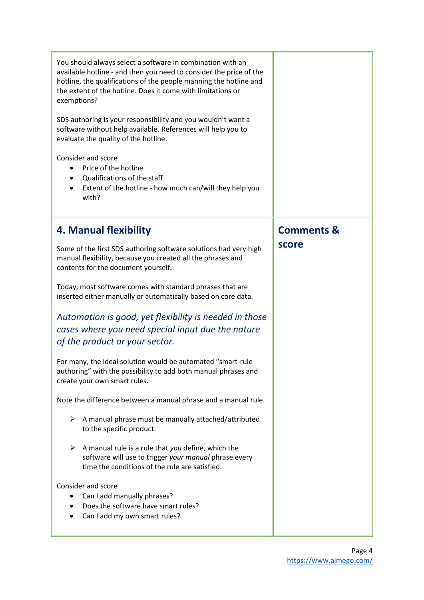| You should always select a software in combination with an<br>available hotline - and then you need to consider the price of the<br>hotline, the qualifications of the people manning the hotline and<br>the extent of the hotline. Does it come with limitations or<br>exemptions?<br>SDS authoring is your responsibility and you wouldn't want a<br>software without help available. References will help you to<br>evaluate the quality of the hotline.<br>Consider and score<br>Price of the hotline<br>Qualifications of the staff<br>Extent of the hotline - how much can/will they help you<br>$\bullet$<br>with? |                       |
|---------------------------------------------------------------------------------------------------------------------------------------------------------------------------------------------------------------------------------------------------------------------------------------------------------------------------------------------------------------------------------------------------------------------------------------------------------------------------------------------------------------------------------------------------------------------------------------------------------------------------|-----------------------|
| 4. Manual flexibility                                                                                                                                                                                                                                                                                                                                                                                                                                                                                                                                                                                                     | <b>Comments &amp;</b> |
| Some of the first SDS authoring software solutions had very high<br>manual flexibility, because you created all the phrases and<br>contents for the document yourself.                                                                                                                                                                                                                                                                                                                                                                                                                                                    | score                 |
| Today, most software comes with standard phrases that are<br>inserted either manually or automatically based on core data.                                                                                                                                                                                                                                                                                                                                                                                                                                                                                                |                       |
| Automation is good, yet flexibility is needed in those<br>cases where you need special input due the nature<br>of the product or your sector.                                                                                                                                                                                                                                                                                                                                                                                                                                                                             |                       |
| For many, the ideal solution would be automated "smart-rule<br>authoring" with the possibility to add both manual phrases and<br>create your own smart rules.                                                                                                                                                                                                                                                                                                                                                                                                                                                             |                       |
| Note the difference between a manual phrase and a manual rule.                                                                                                                                                                                                                                                                                                                                                                                                                                                                                                                                                            |                       |
| A manual phrase must be manually attached/attributed<br>➤<br>to the specific product.                                                                                                                                                                                                                                                                                                                                                                                                                                                                                                                                     |                       |
| A manual rule is a rule that you define, which the<br>➤<br>software will use to trigger your manual phrase every<br>time the conditions of the rule are satisfied.                                                                                                                                                                                                                                                                                                                                                                                                                                                        |                       |
| Consider and score<br>Can I add manually phrases?<br>Does the software have smart rules?<br>Can I add my own smart rules?                                                                                                                                                                                                                                                                                                                                                                                                                                                                                                 |                       |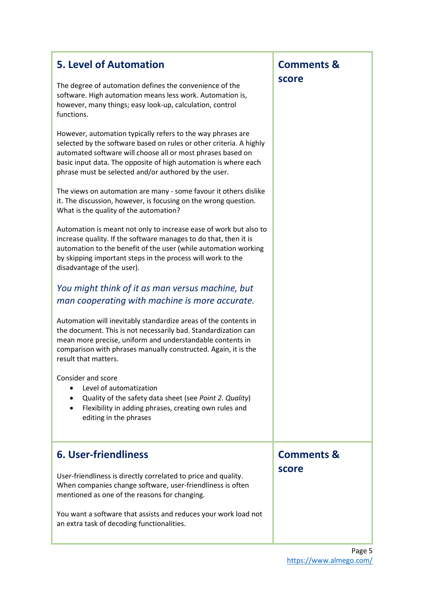| <b>5. Level of Automation</b><br>The degree of automation defines the convenience of the<br>software. High automation means less work. Automation is,<br>however, many things; easy look-up, calculation, control<br>functions.                                                                                              | <b>Comments &amp;</b><br>score |
|------------------------------------------------------------------------------------------------------------------------------------------------------------------------------------------------------------------------------------------------------------------------------------------------------------------------------|--------------------------------|
| However, automation typically refers to the way phrases are<br>selected by the software based on rules or other criteria. A highly<br>automated software will choose all or most phrases based on<br>basic input data. The opposite of high automation is where each<br>phrase must be selected and/or authored by the user. |                                |
| The views on automation are many - some favour it others dislike<br>it. The discussion, however, is focusing on the wrong question.<br>What is the quality of the automation?                                                                                                                                                |                                |
| Automation is meant not only to increase ease of work but also to<br>increase quality. If the software manages to do that, then it is<br>automation to the benefit of the user (while automation working<br>by skipping important steps in the process will work to the<br>disadvantage of the user).                        |                                |
| You might think of it as man versus machine, but<br>man cooperating with machine is more accurate.                                                                                                                                                                                                                           |                                |
| Automation will inevitably standardize areas of the contents in<br>the document. This is not necessarily bad. Standardization can<br>mean more precise, uniform and understandable contents in<br>comparison with phrases manually constructed. Again, it is the<br>result that matters.                                     |                                |
| Consider and score<br>Level of automatization<br>Quality of the safety data sheet (see Point 2. Quality)<br>Flexibility in adding phrases, creating own rules and<br>editing in the phrases                                                                                                                                  |                                |
| <b>6. User-friendliness</b>                                                                                                                                                                                                                                                                                                  | <b>Comments &amp;</b>          |
| User-friendliness is directly correlated to price and quality.<br>When companies change software, user-friendliness is often<br>mentioned as one of the reasons for changing.                                                                                                                                                | score                          |
| You want a software that assists and reduces your work load not<br>an extra task of decoding functionalities.                                                                                                                                                                                                                |                                |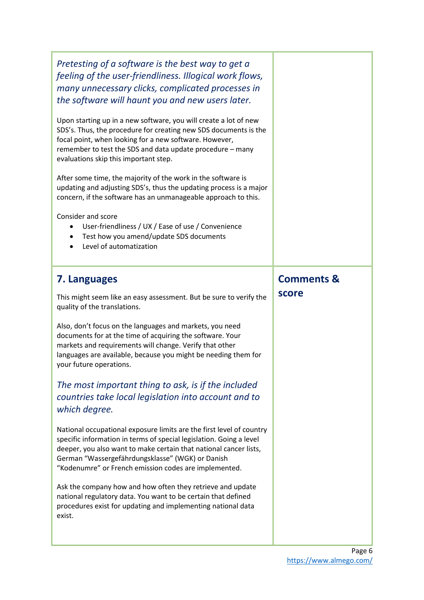| Pretesting of a software is the best way to get a<br>feeling of the user-friendliness. Illogical work flows,<br>many unnecessary clicks, complicated processes in<br>the software will haunt you and new users later.                                                                                                         |                       |
|-------------------------------------------------------------------------------------------------------------------------------------------------------------------------------------------------------------------------------------------------------------------------------------------------------------------------------|-----------------------|
| Upon starting up in a new software, you will create a lot of new<br>SDS's. Thus, the procedure for creating new SDS documents is the<br>focal point, when looking for a new software. However,<br>remember to test the SDS and data update procedure - many<br>evaluations skip this important step.                          |                       |
| After some time, the majority of the work in the software is<br>updating and adjusting SDS's, thus the updating process is a major<br>concern, if the software has an unmanageable approach to this.                                                                                                                          |                       |
| Consider and score<br>User-friendliness / UX / Ease of use / Convenience<br>$\bullet$<br>Test how you amend/update SDS documents<br>Level of automatization                                                                                                                                                                   |                       |
| 7. Languages                                                                                                                                                                                                                                                                                                                  | <b>Comments &amp;</b> |
|                                                                                                                                                                                                                                                                                                                               |                       |
| This might seem like an easy assessment. But be sure to verify the<br>quality of the translations.                                                                                                                                                                                                                            | score                 |
| Also, don't focus on the languages and markets, you need<br>documents for at the time of acquiring the software. Your<br>markets and requirements will change. Verify that other<br>languages are available, because you might be needing them for<br>your future operations.                                                 |                       |
| The most important thing to ask, is if the included<br>countries take local legislation into account and to<br>which degree.                                                                                                                                                                                                  |                       |
| National occupational exposure limits are the first level of country<br>specific information in terms of special legislation. Going a level<br>deeper, you also want to make certain that national cancer lists,<br>German "Wassergefährdungsklasse" (WGK) or Danish<br>"Kodenumre" or French emission codes are implemented. |                       |
| Ask the company how and how often they retrieve and update<br>national regulatory data. You want to be certain that defined<br>procedures exist for updating and implementing national data<br>exist.                                                                                                                         |                       |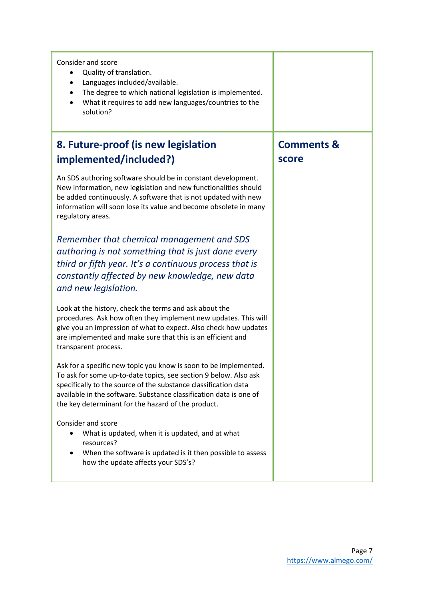| Consider and score<br>Quality of translation.<br>$\bullet$<br>Languages included/available.<br>$\bullet$<br>The degree to which national legislation is implemented.<br>$\bullet$<br>What it requires to add new languages/countries to the<br>$\bullet$<br>solution?                                                               |                       |
|-------------------------------------------------------------------------------------------------------------------------------------------------------------------------------------------------------------------------------------------------------------------------------------------------------------------------------------|-----------------------|
| 8. Future-proof (is new legislation                                                                                                                                                                                                                                                                                                 | <b>Comments &amp;</b> |
| implemented/included?)                                                                                                                                                                                                                                                                                                              | score                 |
| An SDS authoring software should be in constant development.<br>New information, new legislation and new functionalities should<br>be added continuously. A software that is not updated with new<br>information will soon lose its value and become obsolete in many<br>regulatory areas.                                          |                       |
| Remember that chemical management and SDS<br>authoring is not something that is just done every<br>third or fifth year. It's a continuous process that is<br>constantly affected by new knowledge, new data<br>and new legislation.                                                                                                 |                       |
| Look at the history, check the terms and ask about the<br>procedures. Ask how often they implement new updates. This will<br>give you an impression of what to expect. Also check how updates<br>are implemented and make sure that this is an efficient and<br>transparent process.                                                |                       |
| Ask for a specific new topic you know is soon to be implemented.<br>To ask for some up-to-date topics, see section 9 below. Also ask<br>specifically to the source of the substance classification data<br>available in the software. Substance classification data is one of<br>the key determinant for the hazard of the product. |                       |
| Consider and score<br>What is updated, when it is updated, and at what<br>resources?<br>When the software is updated is it then possible to assess<br>$\bullet$<br>how the update affects your SDS's?                                                                                                                               |                       |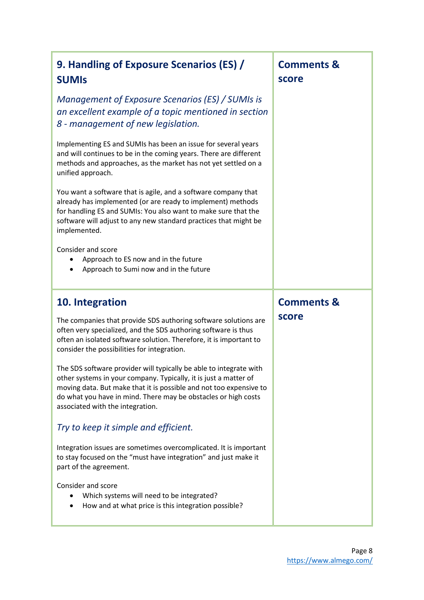| 9. Handling of Exposure Scenarios (ES) /<br><b>SUMIS</b>                                                                                                                                                                                                                                                           | <b>Comments &amp;</b><br>score |
|--------------------------------------------------------------------------------------------------------------------------------------------------------------------------------------------------------------------------------------------------------------------------------------------------------------------|--------------------------------|
| Management of Exposure Scenarios (ES) / SUMIs is<br>an excellent example of a topic mentioned in section<br>8 - management of new legislation.                                                                                                                                                                     |                                |
| Implementing ES and SUMIs has been an issue for several years<br>and will continues to be in the coming years. There are different<br>methods and approaches, as the market has not yet settled on a<br>unified approach.                                                                                          |                                |
| You want a software that is agile, and a software company that<br>already has implemented (or are ready to implement) methods<br>for handling ES and SUMIs: You also want to make sure that the<br>software will adjust to any new standard practices that might be<br>implemented.                                |                                |
| Consider and score<br>Approach to ES now and in the future<br>Approach to Sumi now and in the future                                                                                                                                                                                                               |                                |
|                                                                                                                                                                                                                                                                                                                    |                                |
| 10. Integration                                                                                                                                                                                                                                                                                                    | <b>Comments &amp;</b>          |
| The companies that provide SDS authoring software solutions are<br>often very specialized, and the SDS authoring software is thus<br>often an isolated software solution. Therefore, it is important to<br>consider the possibilities for integration.                                                             | score                          |
| The SDS software provider will typically be able to integrate with<br>other systems in your company. Typically, it is just a matter of<br>moving data. But make that it is possible and not too expensive to<br>do what you have in mind. There may be obstacles or high costs<br>associated with the integration. |                                |
| Try to keep it simple and efficient.                                                                                                                                                                                                                                                                               |                                |
| Integration issues are sometimes overcomplicated. It is important<br>to stay focused on the "must have integration" and just make it<br>part of the agreement.                                                                                                                                                     |                                |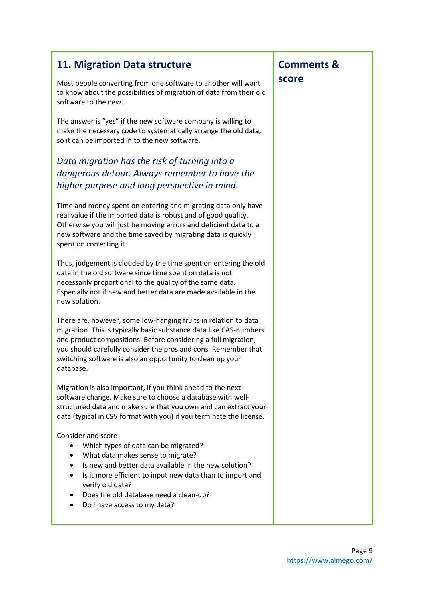| 11. Migration Data structure                                                                                                                                                                                                                                                                                                                         | <b>Comments &amp;</b> |
|------------------------------------------------------------------------------------------------------------------------------------------------------------------------------------------------------------------------------------------------------------------------------------------------------------------------------------------------------|-----------------------|
| Most people converting from one software to another will want<br>to know about the possibilities of migration of data from their old<br>software to the new.                                                                                                                                                                                         | score                 |
| The answer is "yes" if the new software company is willing to<br>make the necessary code to systematically arrange the old data,<br>so it can be imported in to the new software.                                                                                                                                                                    |                       |
| Data migration has the risk of turning into a                                                                                                                                                                                                                                                                                                        |                       |
| dangerous detour. Always remember to have the                                                                                                                                                                                                                                                                                                        |                       |
| higher purpose and long perspective in mind.                                                                                                                                                                                                                                                                                                         |                       |
| Time and money spent on entering and migrating data only have<br>real value if the imported data is robust and of good quality.<br>Otherwise you will just be moving errors and deficient data to a<br>new software and the time saved by migrating data is quickly<br>spent on correcting it.                                                       |                       |
| Thus, judgement is clouded by the time spent on entering the old<br>data in the old software since time spent on data is not<br>necessarily proportional to the quality of the same data.<br>Especially not if new and better data are made available in the<br>new solution.                                                                        |                       |
| There are, however, some low-hanging fruits in relation to data<br>migration. This is typically basic substance data like CAS-numbers<br>and product compositions. Before considering a full migration,<br>you should carefully consider the pros and cons. Remember that<br>switching software is also an opportunity to clean up your<br>database. |                       |
| Migration is also important, if you think ahead to the next<br>software change. Make sure to choose a database with well-<br>structured data and make sure that you own and can extract your<br>data (typical in CSV format with you) if you terminate the license.                                                                                  |                       |
| Consider and score<br>Which types of data can be migrated?<br>٠<br>What data makes sense to migrate?<br>$\bullet$<br>Is new and better data available in the new solution?<br>Is it more efficient to input new data than to import and<br>٠<br>verify old data?<br>Does the old database need a clean-up?<br>٠<br>Do I have access to my data?      |                       |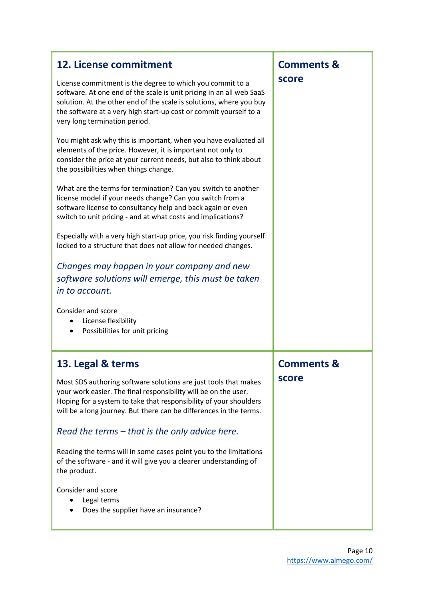| 12. License commitment<br>License commitment is the degree to which you commit to a<br>software. At one end of the scale is unit pricing in an all web SaaS<br>solution. At the other end of the scale is solutions, where you buy<br>the software at a very high start-up cost or commit yourself to a<br>very long termination period.<br>You might ask why this is important, when you have evaluated all<br>elements of the price. However, it is important not only to<br>consider the price at your current needs, but also to think about<br>the possibilities when things change.<br>What are the terms for termination? Can you switch to another<br>license model if your needs change? Can you switch from a<br>software license to consultancy help and back again or even<br>switch to unit pricing - and at what costs and implications?<br>Especially with a very high start-up price, you risk finding yourself<br>locked to a structure that does not allow for needed changes.<br>Changes may happen in your company and new<br>software solutions will emerge, this must be taken<br>in to account.<br>Consider and score<br>License flexibility<br>٠<br>Possibilities for unit pricing<br>$\bullet$ | <b>Comments &amp;</b><br>score |
|-------------------------------------------------------------------------------------------------------------------------------------------------------------------------------------------------------------------------------------------------------------------------------------------------------------------------------------------------------------------------------------------------------------------------------------------------------------------------------------------------------------------------------------------------------------------------------------------------------------------------------------------------------------------------------------------------------------------------------------------------------------------------------------------------------------------------------------------------------------------------------------------------------------------------------------------------------------------------------------------------------------------------------------------------------------------------------------------------------------------------------------------------------------------------------------------------------------------------|--------------------------------|
| 13. Legal & terms<br>Most SDS authoring software solutions are just tools that makes<br>your work easier. The final responsibility will be on the user.<br>Hoping for a system to take that responsibility of your shoulders<br>will be a long journey. But there can be differences in the terms.<br>Read the terms – that is the only advice here.<br>Reading the terms will in some cases point you to the limitations<br>of the software - and it will give you a clearer understanding of<br>the product.<br>Consider and score<br>Legal terms<br>Does the supplier have an insurance?                                                                                                                                                                                                                                                                                                                                                                                                                                                                                                                                                                                                                             | <b>Comments &amp;</b><br>score |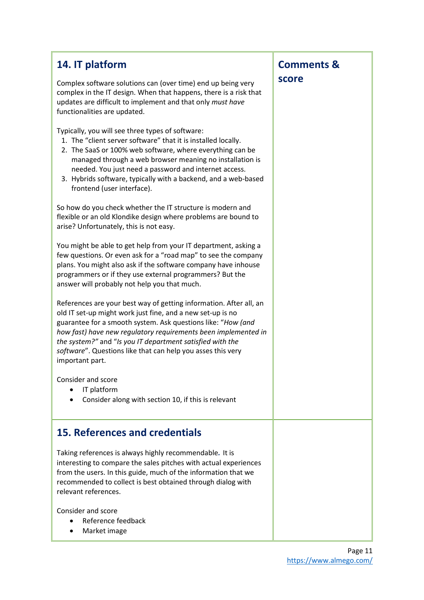| 14. IT platform                                                                                                                                                                                                                                                                                                                                                                                                   | <b>Comments &amp;</b> |
|-------------------------------------------------------------------------------------------------------------------------------------------------------------------------------------------------------------------------------------------------------------------------------------------------------------------------------------------------------------------------------------------------------------------|-----------------------|
| Complex software solutions can (over time) end up being very<br>complex in the IT design. When that happens, there is a risk that<br>updates are difficult to implement and that only must have<br>functionalities are updated.                                                                                                                                                                                   | score                 |
| Typically, you will see three types of software:<br>1. The "client server software" that it is installed locally.<br>2. The SaaS or 100% web software, where everything can be<br>managed through a web browser meaning no installation is<br>needed. You just need a password and internet access.<br>3. Hybrids software, typically with a backend, and a web-based<br>frontend (user interface).               |                       |
| So how do you check whether the IT structure is modern and<br>flexible or an old Klondike design where problems are bound to<br>arise? Unfortunately, this is not easy.                                                                                                                                                                                                                                           |                       |
| You might be able to get help from your IT department, asking a<br>few questions. Or even ask for a "road map" to see the company<br>plans. You might also ask if the software company have inhouse<br>programmers or if they use external programmers? But the<br>answer will probably not help you that much.                                                                                                   |                       |
| References are your best way of getting information. After all, an<br>old IT set-up might work just fine, and a new set-up is no<br>guarantee for a smooth system. Ask questions like: "How (and<br>how fast) have new regulatory requirements been implemented in<br>the system?" and "Is you IT department satisfied with the<br>software". Questions like that can help you asses this very<br>important part. |                       |
| Consider and score<br>IT platform<br>Consider along with section 10, if this is relevant                                                                                                                                                                                                                                                                                                                          |                       |
| <b>15. References and credentials</b>                                                                                                                                                                                                                                                                                                                                                                             |                       |
| Taking references is always highly recommendable. It is<br>interesting to compare the sales pitches with actual experiences<br>from the users. In this guide, much of the information that we<br>recommended to collect is best obtained through dialog with<br>relevant references.                                                                                                                              |                       |
| Consider and score<br>Reference feedback<br>Market image                                                                                                                                                                                                                                                                                                                                                          |                       |